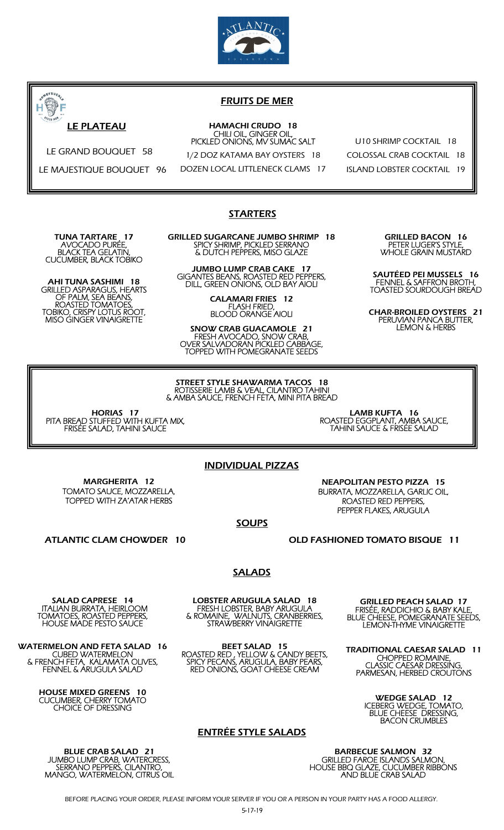



## FRUITS DE MER

#### HAMACHI CRUDO 18 CHILI OIL, GINGER OIL, PICKLED ONIONS, MV SUMAC SALT

1/2 DOZ KATAMA BAY OYSTERS 18

DOZEN LOCAL LITTLENECK CLAMS 17

U10 SHRIMP COCKTAIL 18 COLOSSAL CRAB COCKTAIL 18 ISLAND LOBSTER COCKTAIL 19

#### **STARTERS**

TUNA TARTARE, 17 AVOCADO PURÉE, BLACK TEA GELATIN, CUCUMBER, BLACK TOBIKO

LE GRAND BOUQUET 58

LE MAJESTIQUE BOUQUET 96

AHI TUNA SASHIMI 18 GRILLED ASPARAGUS, HEARTS OF PALM, SEA BEANS, ROASTED TOMATOES, TOBIKO, CRISPY LOTUS ROOT, MISO GINGER VINAIGRETTE

GRILLED SUGARCANE JUMBO SHRIMP 18 SPICY SHRIMP, PICKLED SERRANO & DUTCH PEPPERS, MISO GLAZE

JUMBO LUMP CRAB CAKE 17 GIGANTES BEANS, ROASTED RED PEPPERS, DILL, GREEN ONIONS, OLD BAY AIOLI

> CALAMARI FRIES 12 FLASH FRIED, BLOOD ORANGE AIOLI

SNOW CRAB GUACAMOLE 21 FRESH AVOCADO, SNOW CRAB, OVER SALVADORAN PICKLED CABBAGE, TOPPED WITH POMEGRANATE SEEDS

GRILLED BACON 16 PETER LUGER'S STYLE, WHOLE GRAIN MUSTARD

SAUTÉED PEI MUSSELS 16 FENNEL & SAFFRON BROTH, TOASTED SOURDOUGH BREAD

CHAR-BROILED OYSTERS 21 PERUVIAN PANCA BUTTER, LEMON & HERBS

STREET STYLE SHAWARMA TACOS 18 ROTISSERIE LAMB & VEAL, CILANTRO TAHINI & AMBA SAUCE, FRENCH FETA, MINI PITA BREAD

HORIAS 17 PITA BREAD STUFFED WITH KUFTA MIX, FRISÉE SALAD, TAHINI SAUCE

INDIVIDUAL PIZZAS

MARGHERITA 12 TOMATO SAUCE, MOZZARELLA, TOPPED WITH ZA'ATAR HERBS

NEAPOLITAN PESTO PIZZA 15 BURRATA, MOZZARELLA, GARLIC OIL, ROASTED RED PEPPERS, PEPPER FLAKES, ARUGULA

LAMB KUFTA 16 ROASTED EGGPLANT, AMBA SAUCE, TAHINI SAUCE & FRISÉE SALAD

**SOUPS** 

ATLANTIC CLAM CHOWDER 10 OLD FASHIONED TOMATO BISQUE 11

**SALADS** 

SALAD CAPRESE 14 ITALIAN BURRATA, HEIRLOOM TOMATOES, ROASTED PEPPERS, HOUSE MADE PESTO SAUCE

WATERMELON AND FETA SALAD 16 CUBED WATERMELON & FRENCH FETA, KALAMATA OLIVES, FENNEL & ARUGULA SALAD

> HOUSE MIXED GREENS 10 CUCUMBER, CHERRY TOMATO CHOICE OF DRESSING

BLUE CRAB SALAD 21 JUMBO LUMP CRAB, WATERCRESS, SERRANO PEPPERS, CILANTRO, MANGO, WATERMELON, CITRUS OIL

LOBSTER ARUGULA SALAD 18 FRESH LOBSTER, BABY ARUGULA & ROMAINE, WALNUTS, CRANBERRIES, STRAWBERRY VINAIGRETTE

BEET SALAD 15 ROASTED RED , YELLOW & CANDY BEETS, SPICY PECANS, ARUGULA, BABY PEARS, RED ONIONS, GOAT CHEESE CREAM

GRILLED PEACH SALAD 17 FRISÉE, RADDICHIO & BABY KALE, BLUE CHEESE, POMEGRANATE SEEDS, LEMON-THYME VINAIGRETTE

TRADITIONAL CAESAR SALAD 11 CHOPPED ROMAINE, CLASSIC CAESAR DRESSING, PARMESAN, HERBED CROUTONS

> WEDGE SALAD 12 ICEBERG WEDGE, TOMATO, BLUE CHEESE DRESSING, BACON CRUMBLES

### ENTRÉE STYLE SALADS

BARBECUE SALMON 32 GRILLED FAROE ISLANDS SALMON, HOUSE BBQ GLAZE, CUCUMBER RIBBONS AND BLUE CRAB SALAD

BEFORE PLACING YOUR ORDER, PLEASE INFORM YOUR SERVER IF YOU OR A PERSON IN YOUR PARTY HAS A FOOD ALLERGY.